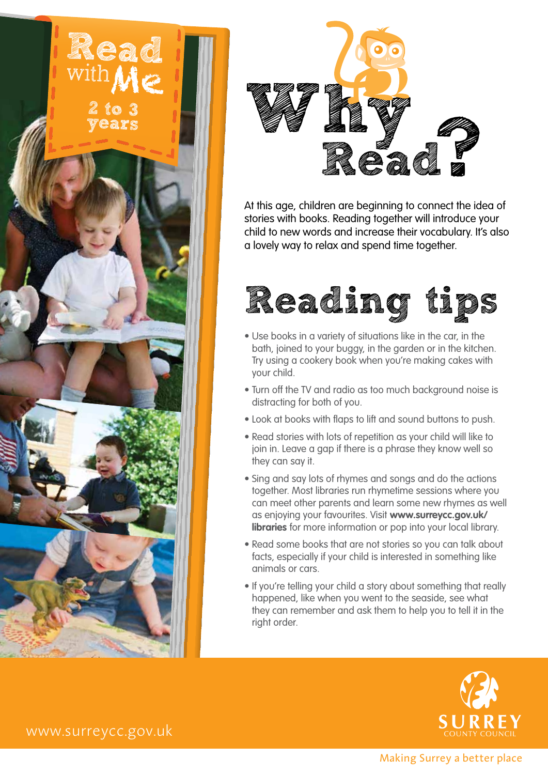



At this age, children are beginning to connect the idea of stories with books. Reading together will introduce your child to new words and increase their vocabulary. It's also a lovely way to relax and spend time together.



- Use books in a variety of situations like in the car, in the bath, joined to your buggy, in the garden or in the kitchen. Try using a cookery book when you're making cakes with your child.
- Turn off the TV and radio as too much background noise is distracting for both of you.
- Look at books with flaps to lift and sound buttons to push.
- Read stories with lots of repetition as your child will like to join in. Leave a gap if there is a phrase they know well so they can say it.
- Sing and say lots of rhymes and songs and do the actions together. Most libraries run rhymetime sessions where you can meet other parents and learn some new rhymes as well as enjoying your favourites. Visit **www.surreycc.gov.uk/ libraries** for more information or pop into your local library.
- Read some books that are not stories so you can talk about facts, especially if your child is interested in something like animals or cars.
- If you're telling your child a story about something that really happened, like when you went to the seaside, see what they can remember and ask them to help you to tell it in the right order.



www.surreycc.gov.uk